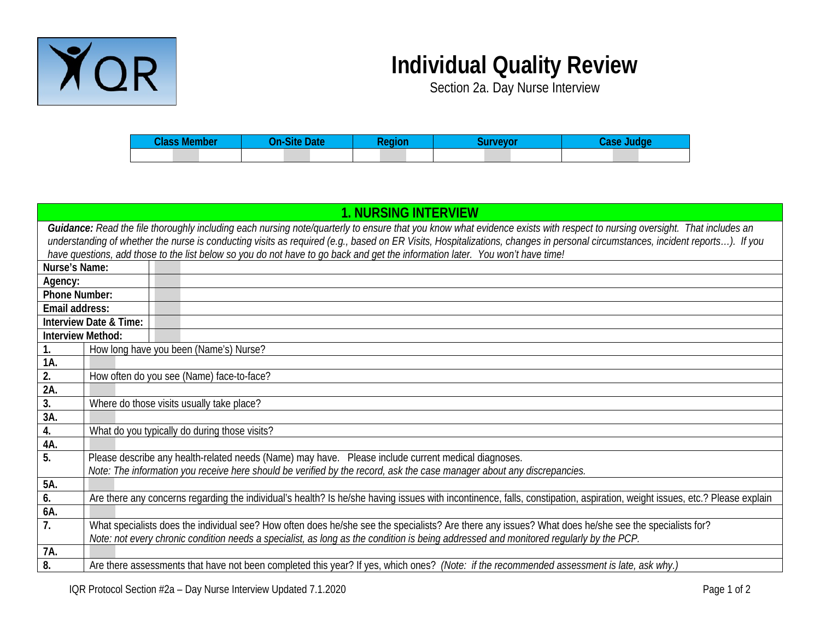

## **Individual Quality Review**

Section 2a. Day Nurse Interview

| `laec<br>- - - -<br>поег | $\sim$<br>ин | <b><i><u>Property</u></i></b><br>ш | . |
|--------------------------|--------------|------------------------------------|---|
|                          |              |                                    |   |

| <b>1. NURSING INTERVIEW</b>                                                                                                                                                   |                                                                                                                        |  |                                                                                                                                                                           |  |
|-------------------------------------------------------------------------------------------------------------------------------------------------------------------------------|------------------------------------------------------------------------------------------------------------------------|--|---------------------------------------------------------------------------------------------------------------------------------------------------------------------------|--|
| Guidance: Read the file thoroughly including each nursing note/quarterly to ensure that you know what evidence exists with respect to nursing oversight. That includes an     |                                                                                                                        |  |                                                                                                                                                                           |  |
| understanding of whether the nurse is conducting visits as required (e.g., based on ER Visits, Hospitalizations, changes in personal circumstances, incident reports). If you |                                                                                                                        |  |                                                                                                                                                                           |  |
| have questions, add those to the list below so you do not have to go back and get the information later. You won't have time!                                                 |                                                                                                                        |  |                                                                                                                                                                           |  |
| Nurse's Name:                                                                                                                                                                 |                                                                                                                        |  |                                                                                                                                                                           |  |
| Agency:                                                                                                                                                                       |                                                                                                                        |  |                                                                                                                                                                           |  |
| <b>Phone Number:</b>                                                                                                                                                          |                                                                                                                        |  |                                                                                                                                                                           |  |
| Email address:                                                                                                                                                                |                                                                                                                        |  |                                                                                                                                                                           |  |
|                                                                                                                                                                               | Interview Date & Time:                                                                                                 |  |                                                                                                                                                                           |  |
| Interview Method:                                                                                                                                                             |                                                                                                                        |  |                                                                                                                                                                           |  |
|                                                                                                                                                                               |                                                                                                                        |  | How long have you been (Name's) Nurse?                                                                                                                                    |  |
| 1A.                                                                                                                                                                           |                                                                                                                        |  |                                                                                                                                                                           |  |
| 2.                                                                                                                                                                            | How often do you see (Name) face-to-face?                                                                              |  |                                                                                                                                                                           |  |
| 2A.                                                                                                                                                                           |                                                                                                                        |  |                                                                                                                                                                           |  |
| 3.                                                                                                                                                                            |                                                                                                                        |  | Where do those visits usually take place?                                                                                                                                 |  |
| 3A.                                                                                                                                                                           |                                                                                                                        |  |                                                                                                                                                                           |  |
| 4.                                                                                                                                                                            |                                                                                                                        |  | What do you typically do during those visits?                                                                                                                             |  |
| 4A.                                                                                                                                                                           |                                                                                                                        |  |                                                                                                                                                                           |  |
| 5.                                                                                                                                                                            |                                                                                                                        |  | Please describe any health-related needs (Name) may have. Please include current medical diagnoses.                                                                       |  |
|                                                                                                                                                                               | Note: The information you receive here should be verified by the record, ask the case manager about any discrepancies. |  |                                                                                                                                                                           |  |
| 5A.                                                                                                                                                                           |                                                                                                                        |  |                                                                                                                                                                           |  |
| 6.                                                                                                                                                                            |                                                                                                                        |  | Are there any concerns regarding the individual's health? Is he/she having issues with incontinence, falls, constipation, aspiration, weight issues, etc.? Please explain |  |
| 6A.                                                                                                                                                                           |                                                                                                                        |  |                                                                                                                                                                           |  |
| 7.                                                                                                                                                                            |                                                                                                                        |  | What specialists does the individual see? How often does he/she see the specialists? Are there any issues? What does he/she see the specialists for?                      |  |
|                                                                                                                                                                               |                                                                                                                        |  | Note: not every chronic condition needs a specialist, as long as the condition is being addressed and monitored regularly by the PCP.                                     |  |
| 7A.                                                                                                                                                                           |                                                                                                                        |  |                                                                                                                                                                           |  |
| 8.                                                                                                                                                                            |                                                                                                                        |  | Are there assessments that have not been completed this year? If yes, which ones? (Note: if the recommended assessment is late, ask why.)                                 |  |